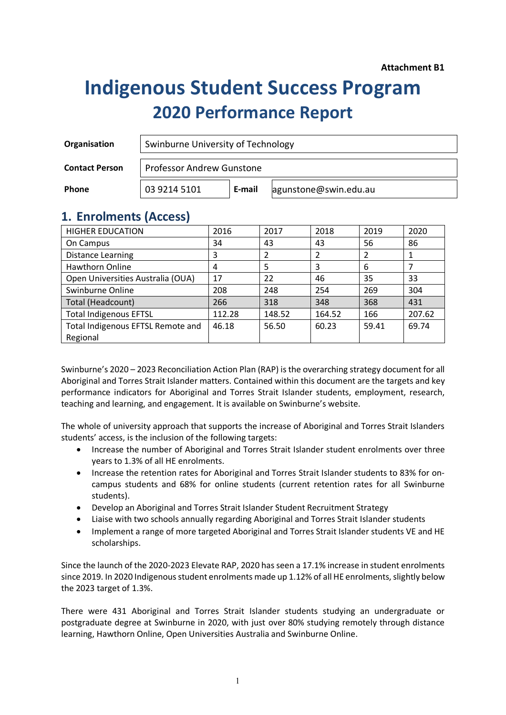# **Indigenous Student Success Program 2020 Performance Report**

| Organisation          | Swinburne University of Technology |        |                       |  |  |  |
|-----------------------|------------------------------------|--------|-----------------------|--|--|--|
| <b>Contact Person</b> | <b>Professor Andrew Gunstone</b>   |        |                       |  |  |  |
| Phone                 | 03 9214 5101                       | E-mail | agunstone@swin.edu.au |  |  |  |

### **1. Enrolments (Access)**

| <b>HIGHER EDUCATION</b>           | 2016   | 2017           | 2018                     | 2019  | 2020   |
|-----------------------------------|--------|----------------|--------------------------|-------|--------|
| On Campus                         | 34     | 43             | 43                       | 56    | 86     |
| <b>Distance Learning</b>          | 3      | $\mathfrak{p}$ | $\overline{\phantom{a}}$ | 2     |        |
| <b>Hawthorn Online</b>            | 4      | 5              | 3                        | 6     |        |
| Open Universities Australia (OUA) | 17     | 22             | 46                       | 35    | 33     |
| Swinburne Online                  | 208    | 248            | 254                      | 269   | 304    |
| Total (Headcount)                 | 266    | 318            | 348                      | 368   | 431    |
| <b>Total Indigenous EFTSL</b>     | 112.28 | 148.52         | 164.52                   | 166   | 207.62 |
| Total Indigenous EFTSL Remote and | 46.18  | 56.50          | 60.23                    | 59.41 | 69.74  |
| Regional                          |        |                |                          |       |        |

Swinburne's 2020 – 2023 Reconciliation Action Plan (RAP) is the overarching strategy document for all Aboriginal and Torres Strait Islander matters. Contained within this document are the targets and key performance indicators for Aboriginal and Torres Strait Islander students, employment, research, teaching and learning, and engagement. It is available on Swinburne's website.

The whole of university approach that supports the increase of Aboriginal and Torres Strait Islanders students' access, is the inclusion of the following targets:

- Increase the number of Aboriginal and Torres Strait Islander student enrolments over three years to 1.3% of all HE enrolments.
- Increase the retention rates for Aboriginal and Torres Strait Islander students to 83% for oncampus students and 68% for online students (current retention rates for all Swinburne students).
- Develop an Aboriginal and Torres Strait Islander Student Recruitment Strategy
- Liaise with two schools annually regarding Aboriginal and Torres Strait Islander students
- Implement a range of more targeted Aboriginal and Torres Strait Islander students VE and HE scholarships.

Since the launch of the 2020-2023 Elevate RAP, 2020 has seen a 17.1% increase in student enrolments since 2019. In 2020 Indigenous student enrolments made up 1.12% of all HE enrolments, slightly below the 2023 target of 1.3%.

There were 431 Aboriginal and Torres Strait Islander students studying an undergraduate or postgraduate degree at Swinburne in 2020, with just over 80% studying remotely through distance learning, Hawthorn Online, Open Universities Australia and Swinburne Online.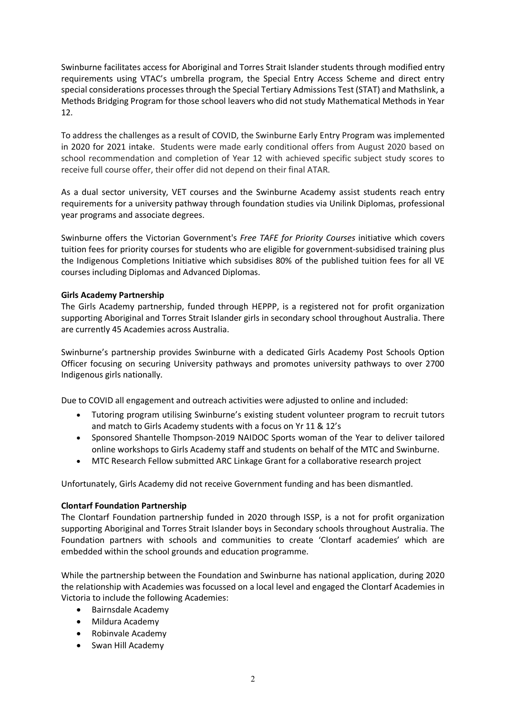Swinburne facilitates access for Aboriginal and Torres Strait Islander students through modified entry requirements using VTAC's umbrella program, the Special Entry Access Scheme and direct entry special considerations processes through the Special Tertiary Admissions Test (STAT) and Mathslink, a Methods Bridging Program for those school leavers who did not study Mathematical Methods in Year 12.

To address the challenges as a result of COVID, the Swinburne Early Entry Program was implemented in 2020 for 2021 intake. Students were made early conditional offers from August 2020 based on school recommendation and completion of Year 12 with achieved specific subject study scores to receive full course offer, their offer did not depend on their final ATAR.

As a dual sector university, VET courses and the Swinburne Academy assist students reach entry requirements for a university pathway through foundation studies via Unilink Diplomas, professional year programs and associate degrees.

Swinburne offers the Victorian Government's *Free TAFE for Priority Courses* initiative which covers tuition fees for priority courses for students who are eligible for government-subsidised training plus the Indigenous Completions Initiative which subsidises 80% of the published tuition fees for all VE courses including Diplomas and Advanced Diplomas.

#### **Girls Academy Partnership**

The Girls Academy partnership, funded through HEPPP, is a registered not for profit organization supporting Aboriginal and Torres Strait Islander girls in secondary school throughout Australia. There are currently 45 Academies across Australia.

Swinburne's partnership provides Swinburne with a dedicated Girls Academy Post Schools Option Officer focusing on securing University pathways and promotes university pathways to over 2700 Indigenous girls nationally.

Due to COVID all engagement and outreach activities were adjusted to online and included:

- Tutoring program utilising Swinburne's existing student volunteer program to recruit tutors and match to Girls Academy students with a focus on Yr 11 & 12's
- Sponsored Shantelle Thompson-2019 NAIDOC Sports woman of the Year to deliver tailored online workshops to Girls Academy staff and students on behalf of the MTC and Swinburne.
- MTC Research Fellow submitted ARC Linkage Grant for a collaborative research project

Unfortunately, Girls Academy did not receive Government funding and has been dismantled.

#### **Clontarf Foundation Partnership**

The Clontarf Foundation partnership funded in 2020 through ISSP, is a not for profit organization supporting Aboriginal and Torres Strait Islander boys in Secondary schools throughout Australia. The Foundation partners with schools and communities to create 'Clontarf academies' which are embedded within the school grounds and education programme.

While the partnership between the Foundation and Swinburne has national application, during 2020 the relationship with Academies was focussed on a local level and engaged the Clontarf Academies in Victoria to include the following Academies:

- Bairnsdale Academy
- Mildura Academy
- Robinvale Academy
- Swan Hill Academy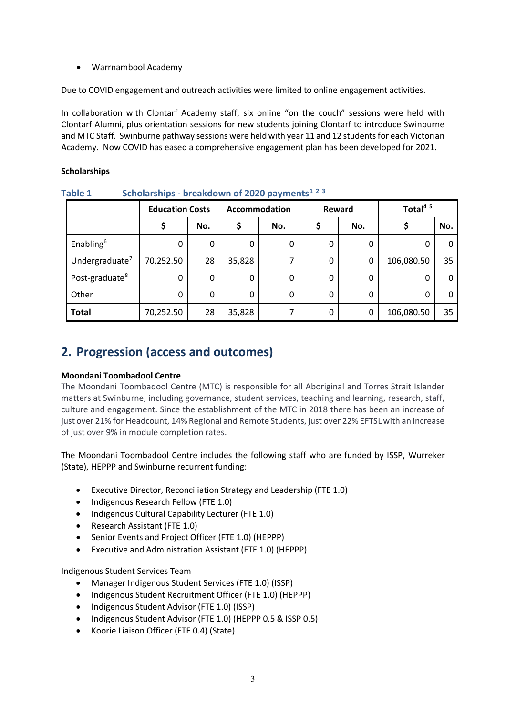• Warrnambool Academy

Due to COVID engagement and outreach activities were limited to online engagement activities.

In collaboration with Clontarf Academy staff, six online "on the couch" sessions were held with Clontarf Alumni, plus orientation sessions for new students joining Clontarf to introduce Swinburne and MTC Staff. Swinburne pathway sessions were held with year 11 and 12 students for each Victorian Academy. Now COVID has eased a comprehensive engagement plan has been developed for 2021.

### **Scholarships**

|                            | <b>Education Costs</b> |     | Accommodation |     | Reward       |     | Total <sup>4 5</sup> |     |
|----------------------------|------------------------|-----|---------------|-----|--------------|-----|----------------------|-----|
|                            |                        | No. |               | No. |              | No. |                      | No. |
| Enabling <sup>6</sup>      | 0                      | 0   | 0             | 0   | $\mathbf{0}$ | 0   |                      | 0   |
| Undergraduate $7$          | 70,252.50              | 28  | 35,828        |     | 0            | 0   | 106,080.50           | 35  |
| Post-graduate <sup>8</sup> | 0                      | 0   | 0             | 0   | 0            | 0   | 0                    | 0   |
| Other                      | 0                      | 0   | 0             | 0   | $\mathbf{0}$ | 0   | 0                    | 0   |
| <b>Total</b>               | 70,252.50              | 28  | 35,828        |     | 0            | 0   | 106,080.50           | 35  |

**Table 1 Scholarships - breakdown of 2020 payments[1](#page-10-0) [2](#page-10-1) [3](#page-10-2)**

### **2. Progression (access and outcomes)**

#### **Moondani Toombadool Centre**

The Moondani Toombadool Centre (MTC) is responsible for all Aboriginal and Torres Strait Islander matters at Swinburne, including governance, student services, teaching and learning, research, staff, culture and engagement. Since the establishment of the MTC in 2018 there has been an increase of just over 21% for Headcount, 14% Regional and Remote Students, just over 22% EFTSL with an increase of just over 9% in module completion rates.

The Moondani Toombadool Centre includes the following staff who are funded by ISSP, Wurreker (State), HEPPP and Swinburne recurrent funding:

- Executive Director, Reconciliation Strategy and Leadership (FTE 1.0)
- Indigenous Research Fellow (FTE 1.0)
- Indigenous Cultural Capability Lecturer (FTE 1.0)
- Research Assistant (FTE 1.0)
- Senior Events and Project Officer (FTE 1.0) (HEPPP)
- Executive and Administration Assistant (FTE 1.0) (HEPPP)

Indigenous Student Services Team

- Manager Indigenous Student Services (FTE 1.0) (ISSP)
- Indigenous Student Recruitment Officer (FTE 1.0) (HEPPP)
- Indigenous Student Advisor (FTE 1.0) (ISSP)
- Indigenous Student Advisor (FTE 1.0) (HEPPP 0.5 & ISSP 0.5)
- Koorie Liaison Officer (FTE 0.4) (State)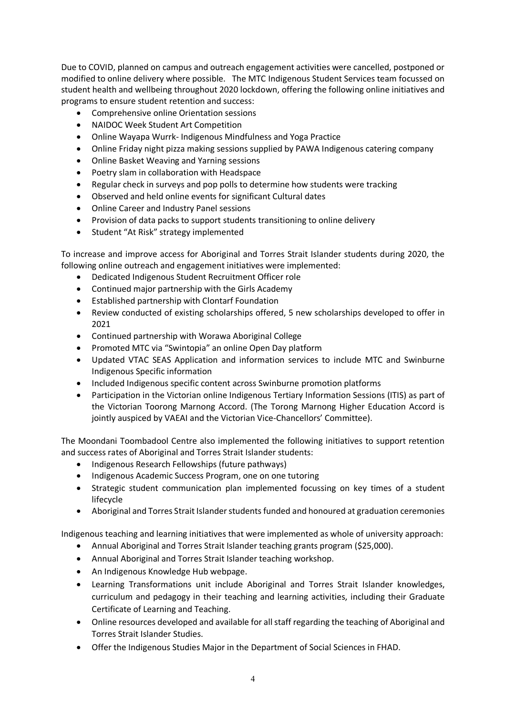Due to COVID, planned on campus and outreach engagement activities were cancelled, postponed or modified to online delivery where possible. The MTC Indigenous Student Services team focussed on student health and wellbeing throughout 2020 lockdown, offering the following online initiatives and programs to ensure student retention and success:

- Comprehensive online Orientation sessions
- NAIDOC Week Student Art Competition
- Online Wayapa Wurrk- Indigenous Mindfulness and Yoga Practice
- Online Friday night pizza making sessions supplied by PAWA Indigenous catering company
- Online Basket Weaving and Yarning sessions
- Poetry slam in collaboration with Headspace
- Regular check in surveys and pop polls to determine how students were tracking
- Observed and held online events for significant Cultural dates
- Online Career and Industry Panel sessions
- Provision of data packs to support students transitioning to online delivery
- Student "At Risk" strategy implemented

To increase and improve access for Aboriginal and Torres Strait Islander students during 2020, the following online outreach and engagement initiatives were implemented:

- Dedicated Indigenous Student Recruitment Officer role
- Continued major partnership with the Girls Academy
- Established partnership with Clontarf Foundation
- Review conducted of existing scholarships offered, 5 new scholarships developed to offer in 2021
- Continued partnership with Worawa Aboriginal College
- Promoted MTC via "Swintopia" an online Open Day platform
- Updated VTAC SEAS Application and information services to include MTC and Swinburne Indigenous Specific information
- Included Indigenous specific content across Swinburne promotion platforms
- Participation in the Victorian online Indigenous Tertiary Information Sessions (ITIS) as part of the Victorian Toorong Marnong Accord. (The Torong Marnong Higher Education Accord is jointly auspiced by VAEAI and the Victorian Vice-Chancellors' Committee).

The Moondani Toombadool Centre also implemented the following initiatives to support retention and success rates of Aboriginal and Torres Strait Islander students:

- Indigenous Research Fellowships (future pathways)
- Indigenous Academic Success Program, one on one tutoring
- Strategic student communication plan implemented focussing on key times of a student lifecycle
- Aboriginal and Torres Strait Islander students funded and honoured at graduation ceremonies

Indigenous teaching and learning initiatives that were implemented as whole of university approach:

- Annual Aboriginal and Torres Strait Islander teaching grants program (\$25,000).
- Annual Aboriginal and Torres Strait Islander teaching workshop.
- An Indigenous Knowledge Hub webpage.
- Learning Transformations unit include Aboriginal and Torres Strait Islander knowledges, curriculum and pedagogy in their teaching and learning activities, including their Graduate Certificate of Learning and Teaching.
- Online resources developed and available for all staff regarding the teaching of Aboriginal and Torres Strait Islander Studies.
- Offer the Indigenous Studies Major in the Department of Social Sciences in FHAD.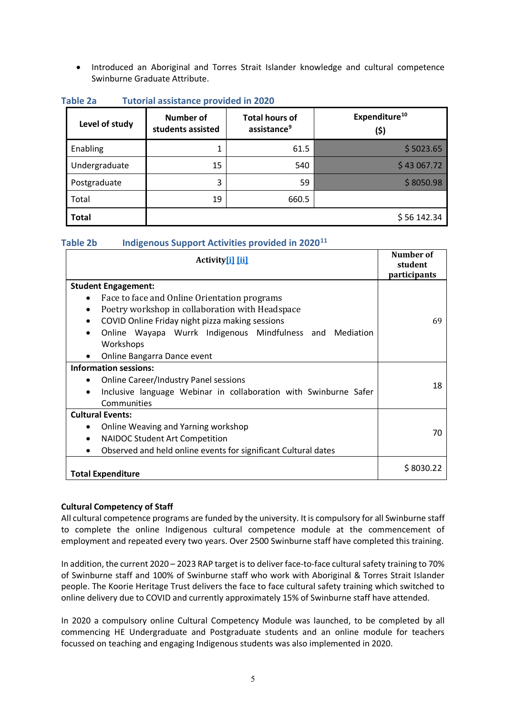• Introduced an Aboriginal and Torres Strait Islander knowledge and cultural competence Swinburne Graduate Attribute.

| Level of study | <b>Number of</b><br>students assisted | <b>Total hours of</b><br>assistance <sup>9</sup> | Expenditure <sup>10</sup><br>(\$) |
|----------------|---------------------------------------|--------------------------------------------------|-----------------------------------|
| Enabling       | 1                                     | 61.5                                             | \$5023.65                         |
| Undergraduate  | 15                                    | 540                                              | \$43,067.72                       |
| Postgraduate   | 3                                     | 59                                               | \$8050.98                         |
| Total          | 19                                    | 660.5                                            |                                   |
| <b>Total</b>   |                                       |                                                  | \$56142.34                        |

#### **Table 2a Tutorial assistance provided in 2020**

### **Table 2b Indigenous Support Activities provided in 2020[11](#page-10-10)**

| <b>Activity</b> i [ii]                                                        | Number of<br>student<br>participants |
|-------------------------------------------------------------------------------|--------------------------------------|
| <b>Student Engagement:</b>                                                    |                                      |
| Face to face and Online Orientation programs                                  |                                      |
| Poetry workshop in collaboration with Headspace                               |                                      |
| COVID Online Friday night pizza making sessions                               | 69                                   |
| Online Wayapa Wurrk Indigenous Mindfulness and Mediation                      |                                      |
| Workshops                                                                     |                                      |
| Online Bangarra Dance event<br>$\bullet$                                      |                                      |
| <b>Information sessions:</b>                                                  |                                      |
| <b>Online Career/Industry Panel sessions</b>                                  | 18                                   |
| Inclusive language Webinar in collaboration with Swinburne Safer<br>$\bullet$ |                                      |
| Communities                                                                   |                                      |
| <b>Cultural Events:</b>                                                       |                                      |
| Online Weaving and Yarning workshop                                           | 70                                   |
| <b>NAIDOC Student Art Competition</b>                                         |                                      |
| Observed and held online events for significant Cultural dates                |                                      |
| <b>Total Expenditure</b>                                                      | \$8030.22                            |

#### **Cultural Competency of Staff**

All cultural competence programs are funded by the university. It is compulsory for all Swinburne staff to complete the online Indigenous cultural competence module at the commencement of employment and repeated every two years. Over 2500 Swinburne staff have completed this training.

In addition, the current 2020 – 2023 RAP target is to deliver face-to-face cultural safety training to 70% of Swinburne staff and 100% of Swinburne staff who work with Aboriginal & Torres Strait Islander people. The Koorie Heritage Trust delivers the face to face cultural safety training which switched to online delivery due to COVID and currently approximately 15% of Swinburne staff have attended.

In 2020 a compulsory online Cultural Competency Module was launched, to be completed by all commencing HE Undergraduate and Postgraduate students and an online module for teachers focussed on teaching and engaging Indigenous students was also implemented in 2020.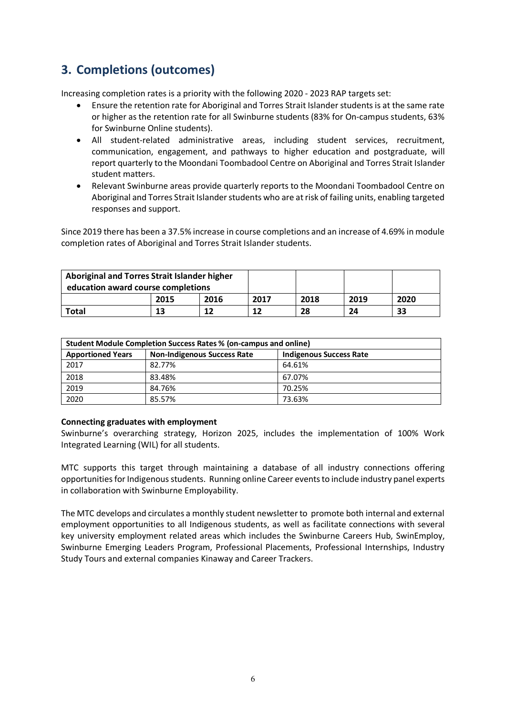# **3. Completions (outcomes)**

Increasing completion rates is a priority with the following 2020 - 2023 RAP targets set:

- Ensure the retention rate for Aboriginal and Torres Strait Islander students is at the same rate or higher as the retention rate for all Swinburne students (83% for On-campus students, 63% for Swinburne Online students).
- All student-related administrative areas, including student services, recruitment, communication, engagement, and pathways to higher education and postgraduate, will report quarterly to the Moondani Toombadool Centre on Aboriginal and Torres Strait Islander student matters.
- Relevant Swinburne areas provide quarterly reports to the Moondani Toombadool Centre on Aboriginal and Torres Strait Islander students who are at risk of failing units, enabling targeted responses and support.

Since 2019 there has been a 37.5% increase in course completions and an increase of 4.69% in module completion rates of Aboriginal and Torres Strait Islander students.

| Aboriginal and Torres Strait Islander higher<br>education award course completions |    |      |      |      |      |    |
|------------------------------------------------------------------------------------|----|------|------|------|------|----|
| 2016<br>2015                                                                       |    | 2017 | 2018 | 2019 | 2020 |    |
| <b>Total</b>                                                                       | 13 |      | 12   | 28   | 24   | 33 |

| Student Module Completion Success Rates % (on-campus and online) |                         |        |  |  |  |  |
|------------------------------------------------------------------|-------------------------|--------|--|--|--|--|
| <b>Apportioned Years</b>                                         | Indigenous Success Rate |        |  |  |  |  |
| 2017                                                             | 82.77%                  | 64.61% |  |  |  |  |
| 2018                                                             | 83.48%                  | 67.07% |  |  |  |  |
| 2019                                                             | 84.76%                  | 70.25% |  |  |  |  |
| 2020                                                             | 85.57%                  | 73.63% |  |  |  |  |

#### **Connecting graduates with employment**

Swinburne's overarching strategy, Horizon 2025, includes the implementation of 100% Work Integrated Learning (WIL) for all students.

MTC supports this target through maintaining a database of all industry connections offering opportunities for Indigenous students. Running online Career events to include industry panel experts in collaboration with Swinburne Employability.

The MTC develops and circulates a monthly student newsletterto promote both internal and external employment opportunities to all Indigenous students, as well as facilitate connections with several key university employment related areas which includes the Swinburne Careers Hub, SwinEmploy, Swinburne Emerging Leaders Program, Professional Placements, Professional Internships, Industry Study Tours and external companies Kinaway and Career Trackers.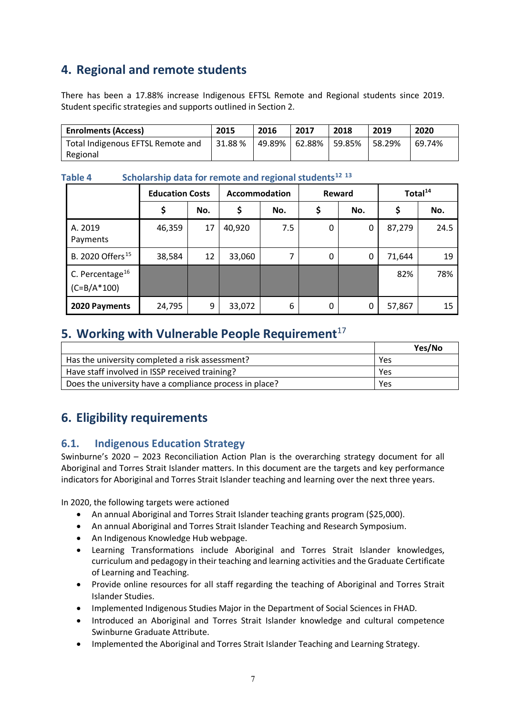# **4. Regional and remote students**

There has been a 17.88% increase Indigenous EFTSL Remote and Regional students since 2019. Student specific strategies and supports outlined in Section 2.

| <b>Enrolments (Access)</b>        | 2015   | 2016 | 2017                     | 2018 | 2019   | 2020   |
|-----------------------------------|--------|------|--------------------------|------|--------|--------|
| Total Indigenous EFTSL Remote and | 31.88% |      | 49.89%   62.88%   59.85% |      | 58.29% | 69.74% |
| Regional                          |        |      |                          |      |        |        |

|                                            | <b>Education Costs</b> |     | <b>Accommodation</b> |     | Reward |     | Total <sup>14</sup> |      |
|--------------------------------------------|------------------------|-----|----------------------|-----|--------|-----|---------------------|------|
|                                            | \$                     | No. |                      | No. | \$     | No. | \$                  | No.  |
| A. 2019<br>Payments                        | 46,359                 | 17  | 40,920               | 7.5 | 0      | 0   | 87,279              | 24.5 |
| B. 2020 Offers <sup>15</sup>               | 38,584                 | 12  | 33,060               | ⇁   | 0      | 0   | 71,644              | 19   |
| C. Percentage $^{16}$<br>$(C = B/A * 100)$ |                        |     |                      |     |        |     | 82%                 | 78%  |
| 2020 Payments                              | 24,795                 | 9   | 33,072               | 6   | 0      | 0   | 57,867              | 15   |

**Table 4 Scholarship data for remote and regional students[12](#page-10-11) [13](#page-10-12)**

### **5. Working with Vulnerable People Requirement**<sup>[17](#page-10-16)</sup>

|                                                         | Yes/No |
|---------------------------------------------------------|--------|
| Has the university completed a risk assessment?         | Yes    |
| Have staff involved in ISSP received training?          | Yes    |
| Does the university have a compliance process in place? | Yes    |

# **6. Eligibility requirements**

### **6.1. Indigenous Education Strategy**

Swinburne's 2020 – 2023 Reconciliation Action Plan is the overarching strategy document for all Aboriginal and Torres Strait Islander matters. In this document are the targets and key performance indicators for Aboriginal and Torres Strait Islander teaching and learning over the next three years.

In 2020, the following targets were actioned

- An annual Aboriginal and Torres Strait Islander teaching grants program (\$25,000).
- An annual Aboriginal and Torres Strait Islander Teaching and Research Symposium.
- An Indigenous Knowledge Hub webpage.
- Learning Transformations include Aboriginal and Torres Strait Islander knowledges, curriculum and pedagogy in their teaching and learning activities and the Graduate Certificate of Learning and Teaching.
- Provide online resources for all staff regarding the teaching of Aboriginal and Torres Strait Islander Studies.
- Implemented Indigenous Studies Major in the Department of Social Sciences in FHAD.
- Introduced an Aboriginal and Torres Strait Islander knowledge and cultural competence Swinburne Graduate Attribute.
- Implemented the Aboriginal and Torres Strait Islander Teaching and Learning Strategy.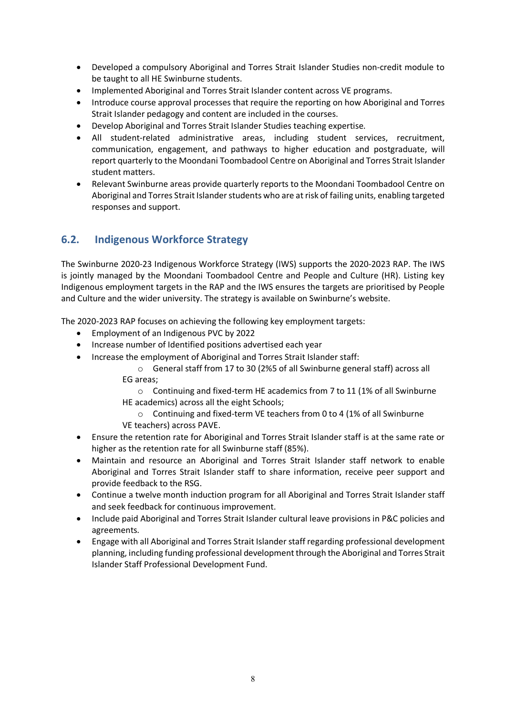- Developed a compulsory Aboriginal and Torres Strait Islander Studies non-credit module to be taught to all HE Swinburne students.
- Implemented Aboriginal and Torres Strait Islander content across VE programs.
- Introduce course approval processes that require the reporting on how Aboriginal and Torres Strait Islander pedagogy and content are included in the courses.
- Develop Aboriginal and Torres Strait Islander Studies teaching expertise.
- All student-related administrative areas, including student services, recruitment, communication, engagement, and pathways to higher education and postgraduate, will report quarterly to the Moondani Toombadool Centre on Aboriginal and Torres Strait Islander student matters.
- Relevant Swinburne areas provide quarterly reports to the Moondani Toombadool Centre on Aboriginal and Torres Strait Islander students who are at risk of failing units, enabling targeted responses and support.

### **6.2. Indigenous Workforce Strategy**

The Swinburne 2020-23 Indigenous Workforce Strategy (IWS) supports the 2020-2023 RAP. The IWS is jointly managed by the Moondani Toombadool Centre and People and Culture (HR). Listing key Indigenous employment targets in the RAP and the IWS ensures the targets are prioritised by People and Culture and the wider university. The strategy is available on Swinburne's website.

The 2020-2023 RAP focuses on achieving the following key employment targets:

- Employment of an Indigenous PVC by 2022
- Increase number of Identified positions advertised each year
- Increase the employment of Aboriginal and Torres Strait Islander staff:

o General staff from 17 to 30 (2%5 of all Swinburne general staff) across all EG areas;

o Continuing and fixed-term HE academics from 7 to 11 (1% of all Swinburne HE academics) across all the eight Schools;

 $\circ$  Continuing and fixed-term VE teachers from 0 to 4 (1% of all Swinburne VE teachers) across PAVE.

- Ensure the retention rate for Aboriginal and Torres Strait Islander staff is at the same rate or higher as the retention rate for all Swinburne staff (85%).
- Maintain and resource an Aboriginal and Torres Strait Islander staff network to enable Aboriginal and Torres Strait Islander staff to share information, receive peer support and provide feedback to the RSG.
- Continue a twelve month induction program for all Aboriginal and Torres Strait Islander staff and seek feedback for continuous improvement.
- Include paid Aboriginal and Torres Strait Islander cultural leave provisions in P&C policies and agreements.
- Engage with all Aboriginal and Torres Strait Islander staff regarding professional development planning, including funding professional development through the Aboriginal and Torres Strait Islander Staff Professional Development Fund.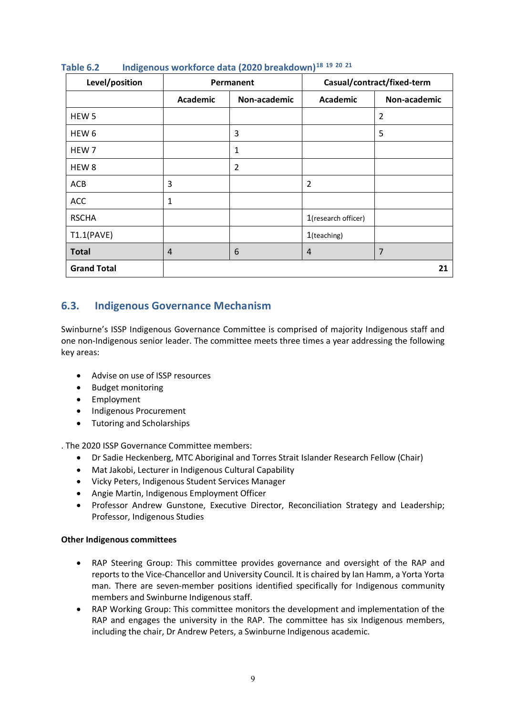| Level/position     |                 | Permanent    |                     | Casual/contract/fixed-term |
|--------------------|-----------------|--------------|---------------------|----------------------------|
|                    | <b>Academic</b> | Non-academic | <b>Academic</b>     | Non-academic               |
| HEW <sub>5</sub>   |                 |              |                     | $\overline{2}$             |
| HEW <sub>6</sub>   |                 | 3            |                     | 5                          |
| HEW 7              |                 | 1            |                     |                            |
| HEW <sub>8</sub>   |                 | 2            |                     |                            |
| ACB                | 3               |              | 2                   |                            |
| ACC                | 1               |              |                     |                            |
| <b>RSCHA</b>       |                 |              | 1(research officer) |                            |
| T1.1(PAVE)         |                 |              | 1(teaching)         |                            |
| <b>Total</b>       | $\overline{4}$  | 6            | $\overline{4}$      | 7                          |
| <b>Grand Total</b> |                 |              |                     | 21                         |

### **Table 6.2 Indigenous workforce data (2020 breakdown)[18](#page-10-17) [19](#page-10-18) [20](#page-10-19) [21](#page-10-20)**

### **6.3. Indigenous Governance Mechanism**

Swinburne's ISSP Indigenous Governance Committee is comprised of majority Indigenous staff and one non-Indigenous senior leader. The committee meets three times a year addressing the following key areas:

- Advise on use of ISSP resources
- Budget monitoring
- Employment
- Indigenous Procurement
- Tutoring and Scholarships

. The 2020 ISSP Governance Committee members:

- Dr Sadie Heckenberg, MTC Aboriginal and Torres Strait Islander Research Fellow (Chair)
- Mat Jakobi, Lecturer in Indigenous Cultural Capability
- Vicky Peters, Indigenous Student Services Manager
- Angie Martin, Indigenous Employment Officer
- Professor Andrew Gunstone, Executive Director, Reconciliation Strategy and Leadership; Professor, Indigenous Studies

#### **Other Indigenous committees**

- RAP Steering Group: This committee provides governance and oversight of the RAP and reports to the Vice-Chancellor and University Council. It is chaired by Ian Hamm, a Yorta Yorta man. There are seven-member positions identified specifically for Indigenous community members and Swinburne Indigenous staff.
- RAP Working Group: This committee monitors the development and implementation of the RAP and engages the university in the RAP. The committee has six Indigenous members, including the chair, Dr Andrew Peters, a Swinburne Indigenous academic.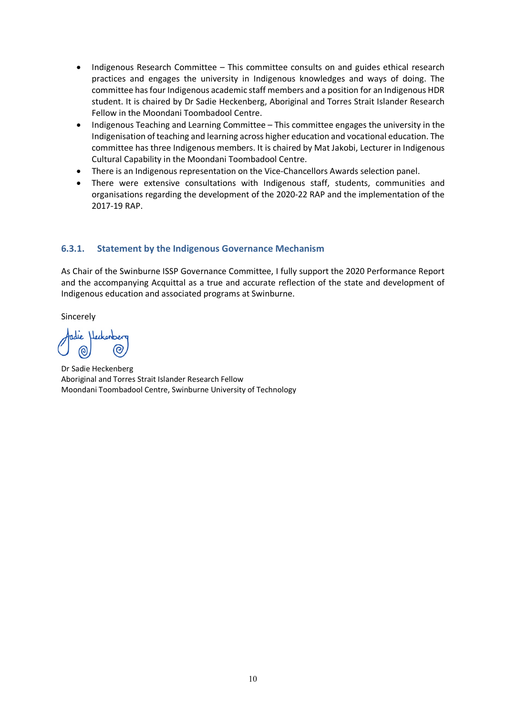- Indigenous Research Committee This committee consults on and guides ethical research practices and engages the university in Indigenous knowledges and ways of doing. The committee has four Indigenous academic staff members and a position for an Indigenous HDR student. It is chaired by Dr Sadie Heckenberg, Aboriginal and Torres Strait Islander Research Fellow in the Moondani Toombadool Centre.
- Indigenous Teaching and Learning Committee This committee engages the university in the Indigenisation of teaching and learning across higher education and vocational education. The committee has three Indigenous members. It is chaired by Mat Jakobi, Lecturer in Indigenous Cultural Capability in the Moondani Toombadool Centre.
- There is an Indigenous representation on the Vice-Chancellors Awards selection panel.
- There were extensive consultations with Indigenous staff, students, communities and organisations regarding the development of the 2020-22 RAP and the implementation of the 2017-19 RAP.

### **6.3.1. Statement by the Indigenous Governance Mechanism**

As Chair of the Swinburne ISSP Governance Committee, I fully support the 2020 Performance Report and the accompanying Acquittal as a true and accurate reflection of the state and development of Indigenous education and associated programs at Swinburne.

Sincerely

Heckenber

Dr Sadie Heckenberg Aboriginal and Torres Strait Islander Research Fellow Moondani Toombadool Centre, Swinburne University of Technology